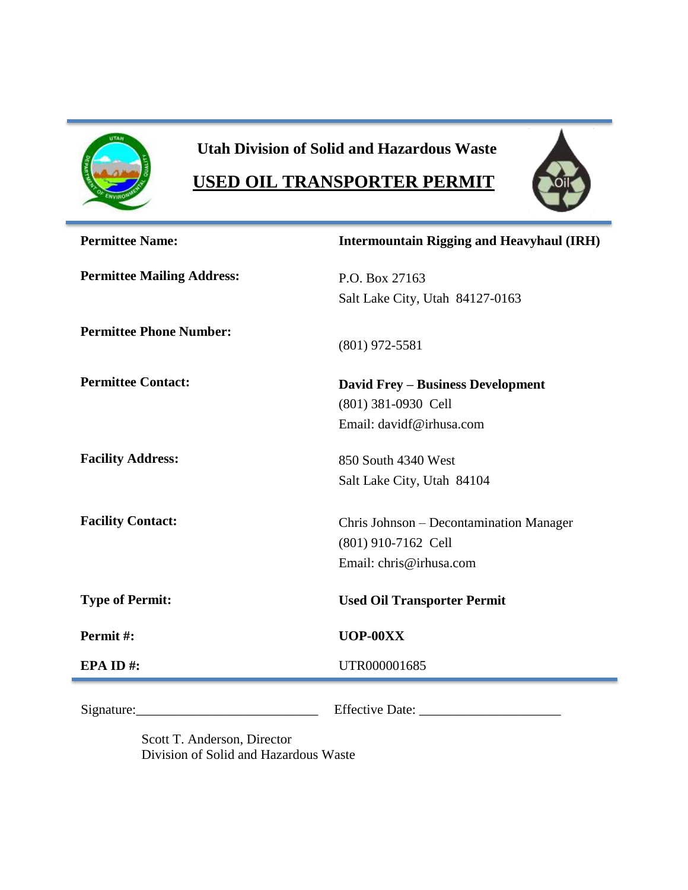

# **Utah Division of Solid and Hazardous Waste**

# **USED OIL TRANSPORTER PERMIT**



| <b>Permittee Name:</b>            | <b>Intermountain Rigging and Heavyhaul (IRH)</b> |  |  |
|-----------------------------------|--------------------------------------------------|--|--|
| <b>Permittee Mailing Address:</b> | P.O. Box 27163                                   |  |  |
|                                   | Salt Lake City, Utah 84127-0163                  |  |  |
| <b>Permittee Phone Number:</b>    | $(801)$ 972-5581                                 |  |  |
|                                   |                                                  |  |  |
| <b>Permittee Contact:</b>         | <b>David Frey – Business Development</b>         |  |  |
|                                   | (801) 381-0930 Cell                              |  |  |
|                                   | Email: davidf@irhusa.com                         |  |  |
| <b>Facility Address:</b>          | 850 South 4340 West                              |  |  |
|                                   | Salt Lake City, Utah 84104                       |  |  |
| <b>Facility Contact:</b>          | Chris Johnson – Decontamination Manager          |  |  |
|                                   | (801) 910-7162 Cell                              |  |  |
|                                   | Email: chris@irhusa.com                          |  |  |
| <b>Type of Permit:</b>            | <b>Used Oil Transporter Permit</b>               |  |  |
| Permit#:                          | UOP-00XX                                         |  |  |
| EPA ID#:                          | UTR000001685                                     |  |  |
|                                   |                                                  |  |  |
| Signature:                        | Effective Date:                                  |  |  |

Scott T. Anderson, Director Division of Solid and Hazardous Waste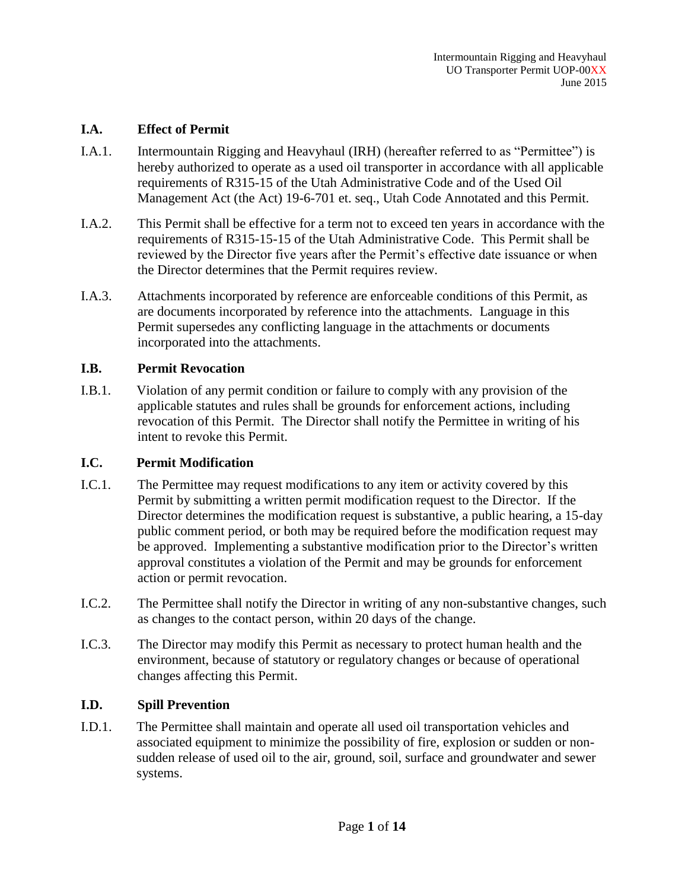### **I.A. Effect of Permit**

- I.A.1. Intermountain Rigging and Heavyhaul (IRH) (hereafter referred to as "Permittee") is hereby authorized to operate as a used oil transporter in accordance with all applicable requirements of R315-15 of the Utah Administrative Code and of the Used Oil Management Act (the Act) 19-6-701 et. seq., Utah Code Annotated and this Permit.
- I.A.2. This Permit shall be effective for a term not to exceed ten years in accordance with the requirements of R315-15-15 of the Utah Administrative Code. This Permit shall be reviewed by the Director five years after the Permit's effective date issuance or when the Director determines that the Permit requires review.
- I.A.3. Attachments incorporated by reference are enforceable conditions of this Permit, as are documents incorporated by reference into the attachments. Language in this Permit supersedes any conflicting language in the attachments or documents incorporated into the attachments.

## **I.B. Permit Revocation**

I.B.1. Violation of any permit condition or failure to comply with any provision of the applicable statutes and rules shall be grounds for enforcement actions, including revocation of this Permit. The Director shall notify the Permittee in writing of his intent to revoke this Permit.

#### **I.C. Permit Modification**

- I.C.1. The Permittee may request modifications to any item or activity covered by this Permit by submitting a written permit modification request to the Director. If the Director determines the modification request is substantive, a public hearing, a 15-day public comment period, or both may be required before the modification request may be approved. Implementing a substantive modification prior to the Director's written approval constitutes a violation of the Permit and may be grounds for enforcement action or permit revocation.
- I.C.2. The Permittee shall notify the Director in writing of any non-substantive changes, such as changes to the contact person, within 20 days of the change.
- I.C.3. The Director may modify this Permit as necessary to protect human health and the environment, because of statutory or regulatory changes or because of operational changes affecting this Permit.

### **I.D. Spill Prevention**

I.D.1. The Permittee shall maintain and operate all used oil transportation vehicles and associated equipment to minimize the possibility of fire, explosion or sudden or nonsudden release of used oil to the air, ground, soil, surface and groundwater and sewer systems.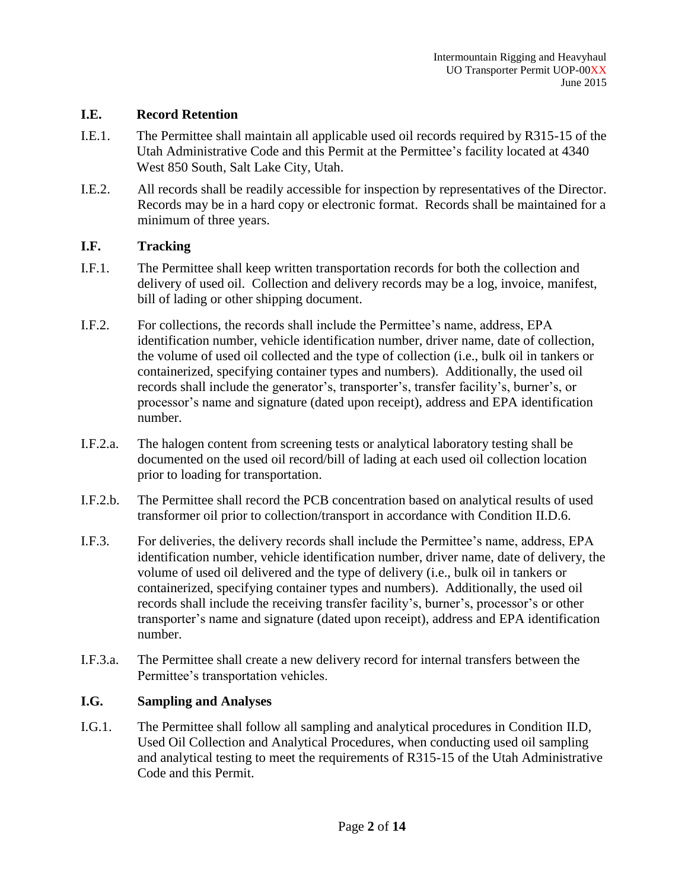### **I.E. Record Retention**

- I.E.1. The Permittee shall maintain all applicable used oil records required by R315-15 of the Utah Administrative Code and this Permit at the Permittee's facility located at 4340 West 850 South, Salt Lake City, Utah.
- I.E.2. All records shall be readily accessible for inspection by representatives of the Director. Records may be in a hard copy or electronic format. Records shall be maintained for a minimum of three years.

## **I.F. Tracking**

- I.F.1. The Permittee shall keep written transportation records for both the collection and delivery of used oil. Collection and delivery records may be a log, invoice, manifest, bill of lading or other shipping document.
- I.F.2. For collections, the records shall include the Permittee's name, address, EPA identification number, vehicle identification number, driver name, date of collection, the volume of used oil collected and the type of collection (i.e., bulk oil in tankers or containerized, specifying container types and numbers). Additionally, the used oil records shall include the generator's, transporter's, transfer facility's, burner's, or processor's name and signature (dated upon receipt), address and EPA identification number.
- I.F.2.a. The halogen content from screening tests or analytical laboratory testing shall be documented on the used oil record/bill of lading at each used oil collection location prior to loading for transportation.
- I.F.2.b. The Permittee shall record the PCB concentration based on analytical results of used transformer oil prior to collection/transport in accordance with Condition II.D.6.
- I.F.3. For deliveries, the delivery records shall include the Permittee's name, address, EPA identification number, vehicle identification number, driver name, date of delivery, the volume of used oil delivered and the type of delivery (i.e., bulk oil in tankers or containerized, specifying container types and numbers). Additionally, the used oil records shall include the receiving transfer facility's, burner's, processor's or other transporter's name and signature (dated upon receipt), address and EPA identification number.
- I.F.3.a. The Permittee shall create a new delivery record for internal transfers between the Permittee's transportation vehicles.

# **I.G. Sampling and Analyses**

I.G.1. The Permittee shall follow all sampling and analytical procedures in Condition II.D, Used Oil Collection and Analytical Procedures, when conducting used oil sampling and analytical testing to meet the requirements of R315-15 of the Utah Administrative Code and this Permit.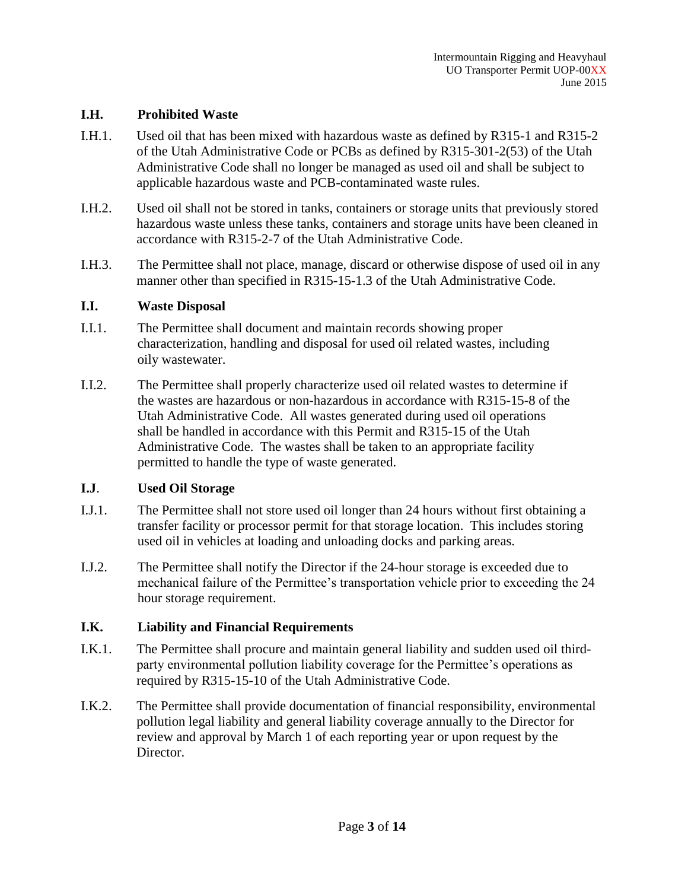#### **I.H. Prohibited Waste**

- I.H.1. Used oil that has been mixed with hazardous waste as defined by R315-1 and R315-2 of the Utah Administrative Code or PCBs as defined by R315-301-2(53) of the Utah Administrative Code shall no longer be managed as used oil and shall be subject to applicable hazardous waste and PCB-contaminated waste rules.
- I.H.2. Used oil shall not be stored in tanks, containers or storage units that previously stored hazardous waste unless these tanks, containers and storage units have been cleaned in accordance with R315-2-7 of the Utah Administrative Code.
- I.H.3. The Permittee shall not place, manage, discard or otherwise dispose of used oil in any manner other than specified in R315-15-1.3 of the Utah Administrative Code.

#### **I.I. Waste Disposal**

- I.I.1. The Permittee shall document and maintain records showing proper characterization, handling and disposal for used oil related wastes, including oily wastewater.
- I.I.2. The Permittee shall properly characterize used oil related wastes to determine if the wastes are hazardous or non-hazardous in accordance with R315-15-8 of the Utah Administrative Code. All wastes generated during used oil operations shall be handled in accordance with this Permit and R315-15 of the Utah Administrative Code. The wastes shall be taken to an appropriate facility permitted to handle the type of waste generated.

#### **I.J**. **Used Oil Storage**

- I.J.1. The Permittee shall not store used oil longer than 24 hours without first obtaining a transfer facility or processor permit for that storage location. This includes storing used oil in vehicles at loading and unloading docks and parking areas.
- I.J.2. The Permittee shall notify the Director if the 24-hour storage is exceeded due to mechanical failure of the Permittee's transportation vehicle prior to exceeding the 24 hour storage requirement.

#### **I.K. Liability and Financial Requirements**

- I.K.1. The Permittee shall procure and maintain general liability and sudden used oil thirdparty environmental pollution liability coverage for the Permittee's operations as required by R315-15-10 of the Utah Administrative Code.
- I.K.2. The Permittee shall provide documentation of financial responsibility, environmental pollution legal liability and general liability coverage annually to the Director for review and approval by March 1 of each reporting year or upon request by the Director.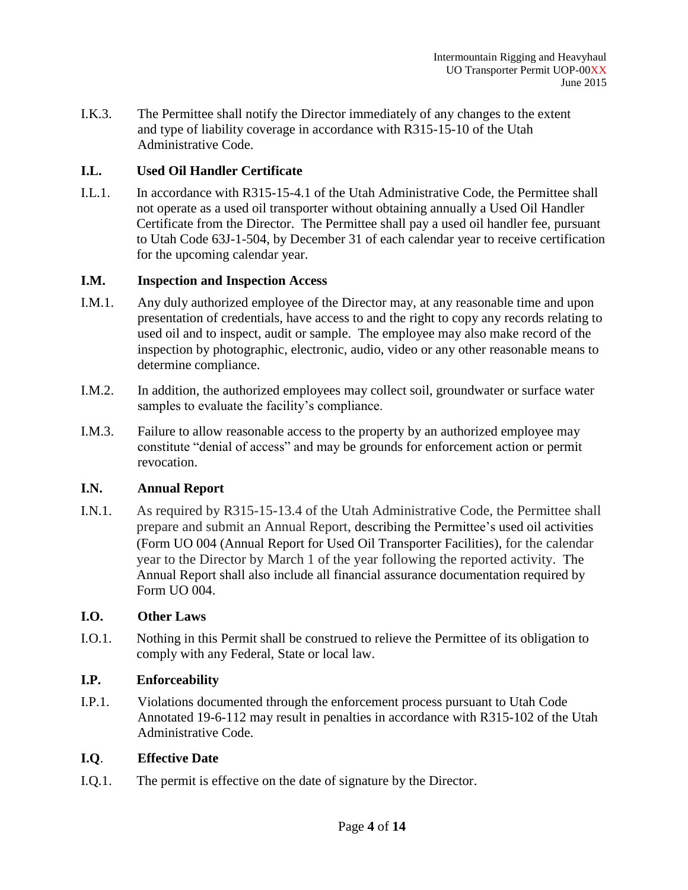I.K.3. The Permittee shall notify the Director immediately of any changes to the extent and type of liability coverage in accordance with R315-15-10 of the Utah Administrative Code.

# **I.L. Used Oil Handler Certificate**

I.L.1. In accordance with R315-15-4.1 of the Utah Administrative Code, the Permittee shall not operate as a used oil transporter without obtaining annually a Used Oil Handler Certificate from the Director. The Permittee shall pay a used oil handler fee, pursuant to Utah Code 63J-1-504, by December 31 of each calendar year to receive certification for the upcoming calendar year.

## **I.M. Inspection and Inspection Access**

- I.M.1. Any duly authorized employee of the Director may, at any reasonable time and upon presentation of credentials, have access to and the right to copy any records relating to used oil and to inspect, audit or sample. The employee may also make record of the inspection by photographic, electronic, audio, video or any other reasonable means to determine compliance.
- I.M.2. In addition, the authorized employees may collect soil, groundwater or surface water samples to evaluate the facility's compliance.
- I.M.3. Failure to allow reasonable access to the property by an authorized employee may constitute "denial of access" and may be grounds for enforcement action or permit revocation.

# **I.N. Annual Report**

I.N.1. As required by R315-15-13.4 of the Utah Administrative Code, the Permittee shall prepare and submit an Annual Report, describing the Permittee's used oil activities (Form UO 004 (Annual Report for Used Oil Transporter Facilities), for the calendar year to the Director by March 1 of the year following the reported activity. The Annual Report shall also include all financial assurance documentation required by Form UO 004.

# **I.O. Other Laws**

I.O.1. Nothing in this Permit shall be construed to relieve the Permittee of its obligation to comply with any Federal, State or local law.

# **I.P. Enforceability**

I.P.1. Violations documented through the enforcement process pursuant to Utah Code Annotated 19-6-112 may result in penalties in accordance with R315-102 of the Utah Administrative Code.

# **I.Q**. **Effective Date**

I.Q.1. The permit is effective on the date of signature by the Director.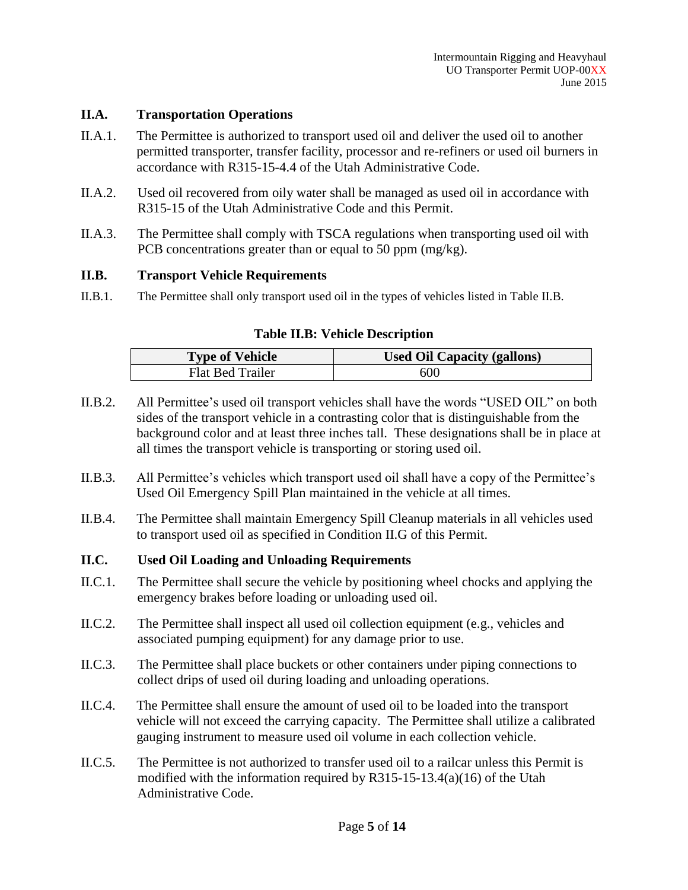#### **II.A. Transportation Operations**

- II.A.1. The Permittee is authorized to transport used oil and deliver the used oil to another permitted transporter, transfer facility, processor and re-refiners or used oil burners in accordance with R315-15-4.4 of the Utah Administrative Code.
- II.A.2. Used oil recovered from oily water shall be managed as used oil in accordance with R315-15 of the Utah Administrative Code and this Permit.
- II.A.3. The Permittee shall comply with TSCA regulations when transporting used oil with PCB concentrations greater than or equal to 50 ppm (mg/kg).

#### **II.B. Transport Vehicle Requirements**

II.B.1. The Permittee shall only transport used oil in the types of vehicles listed in Table II.B.

## **Table II.B: Vehicle Description**

| <b>Type of Vehicle</b> | <b>Used Oil Capacity (gallons)</b> |  |
|------------------------|------------------------------------|--|
| Flat Bed Trailer       | 600                                |  |

- II.B.2. All Permittee's used oil transport vehicles shall have the words "USED OIL" on both sides of the transport vehicle in a contrasting color that is distinguishable from the background color and at least three inches tall. These designations shall be in place at all times the transport vehicle is transporting or storing used oil.
- II.B.3. All Permittee's vehicles which transport used oil shall have a copy of the Permittee's Used Oil Emergency Spill Plan maintained in the vehicle at all times.
- II.B.4. The Permittee shall maintain Emergency Spill Cleanup materials in all vehicles used to transport used oil as specified in Condition II.G of this Permit.

#### **II.C. Used Oil Loading and Unloading Requirements**

- II.C.1. The Permittee shall secure the vehicle by positioning wheel chocks and applying the emergency brakes before loading or unloading used oil.
- II.C.2. The Permittee shall inspect all used oil collection equipment (e.g., vehicles and associated pumping equipment) for any damage prior to use.
- II.C.3. The Permittee shall place buckets or other containers under piping connections to collect drips of used oil during loading and unloading operations.
- II.C.4. The Permittee shall ensure the amount of used oil to be loaded into the transport vehicle will not exceed the carrying capacity. The Permittee shall utilize a calibrated gauging instrument to measure used oil volume in each collection vehicle.
- II.C.5. The Permittee is not authorized to transfer used oil to a railcar unless this Permit is modified with the information required by R315-15-13.4(a)(16) of the Utah Administrative Code.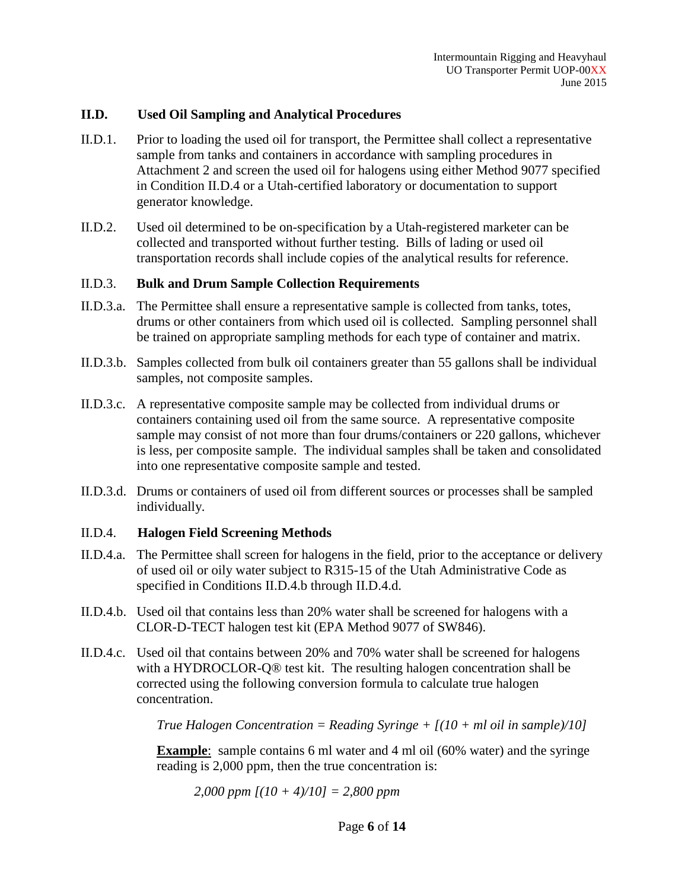### **II.D. Used Oil Sampling and Analytical Procedures**

- II.D.1. Prior to loading the used oil for transport, the Permittee shall collect a representative sample from tanks and containers in accordance with sampling procedures in Attachment 2 and screen the used oil for halogens using either Method 9077 specified in Condition II.D.4 or a Utah-certified laboratory or documentation to support generator knowledge.
- II.D.2. Used oil determined to be on-specification by a Utah-registered marketer can be collected and transported without further testing. Bills of lading or used oil transportation records shall include copies of the analytical results for reference.

#### II.D.3. **Bulk and Drum Sample Collection Requirements**

- II.D.3.a. The Permittee shall ensure a representative sample is collected from tanks, totes, drums or other containers from which used oil is collected. Sampling personnel shall be trained on appropriate sampling methods for each type of container and matrix.
- II.D.3.b. Samples collected from bulk oil containers greater than 55 gallons shall be individual samples, not composite samples.
- II.D.3.c. A representative composite sample may be collected from individual drums or containers containing used oil from the same source. A representative composite sample may consist of not more than four drums/containers or 220 gallons, whichever is less, per composite sample. The individual samples shall be taken and consolidated into one representative composite sample and tested.
- II.D.3.d. Drums or containers of used oil from different sources or processes shall be sampled individually.

#### II.D.4. **Halogen Field Screening Methods**

- II.D.4.a. The Permittee shall screen for halogens in the field, prior to the acceptance or delivery of used oil or oily water subject to R315-15 of the Utah Administrative Code as specified in Conditions II.D.4.b through II.D.4.d.
- II.D.4.b. Used oil that contains less than 20% water shall be screened for halogens with a CLOR-D-TECT halogen test kit (EPA Method 9077 of SW846).
- II.D.4.c. Used oil that contains between 20% and 70% water shall be screened for halogens with a HYDROCLOR-Q® test kit. The resulting halogen concentration shall be corrected using the following conversion formula to calculate true halogen concentration.

*True Halogen Concentration = Reading Syringe + [(10 + ml oil in sample)/10]*

**Example**: sample contains 6 ml water and 4 ml oil (60% water) and the syringe reading is 2,000 ppm, then the true concentration is:

*2,000 ppm [(10 + 4)/10] = 2,800 ppm*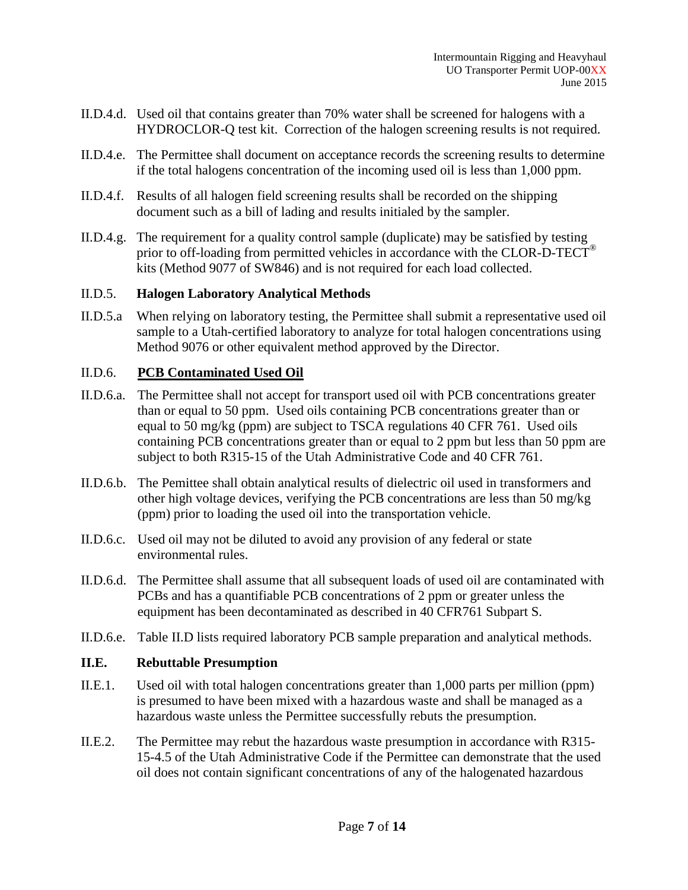- II.D.4.d. Used oil that contains greater than 70% water shall be screened for halogens with a HYDROCLOR-Q test kit. Correction of the halogen screening results is not required.
- II.D.4.e. The Permittee shall document on acceptance records the screening results to determine if the total halogens concentration of the incoming used oil is less than 1,000 ppm.
- II.D.4.f. Results of all halogen field screening results shall be recorded on the shipping document such as a bill of lading and results initialed by the sampler.
- II.D.4.g. The requirement for a quality control sample (duplicate) may be satisfied by testing prior to off-loading from permitted vehicles in accordance with the CLOR-D-TECT® kits (Method 9077 of SW846) and is not required for each load collected.

## II.D.5. **Halogen Laboratory Analytical Methods**

II.D.5.a When relying on laboratory testing, the Permittee shall submit a representative used oil sample to a Utah-certified laboratory to analyze for total halogen concentrations using Method 9076 or other equivalent method approved by the Director.

## II.D.6. **PCB Contaminated Used Oil**

- II.D.6.a. The Permittee shall not accept for transport used oil with PCB concentrations greater than or equal to 50 ppm. Used oils containing PCB concentrations greater than or equal to 50 mg/kg (ppm) are subject to TSCA regulations 40 CFR 761. Used oils containing PCB concentrations greater than or equal to 2 ppm but less than 50 ppm are subject to both R315-15 of the Utah Administrative Code and 40 CFR 761.
- II.D.6.b. The Pemittee shall obtain analytical results of dielectric oil used in transformers and other high voltage devices, verifying the PCB concentrations are less than 50 mg/kg (ppm) prior to loading the used oil into the transportation vehicle.
- II.D.6.c. Used oil may not be diluted to avoid any provision of any federal or state environmental rules.
- II.D.6.d. The Permittee shall assume that all subsequent loads of used oil are contaminated with PCBs and has a quantifiable PCB concentrations of 2 ppm or greater unless the equipment has been decontaminated as described in 40 CFR761 Subpart S.
- II.D.6.e. Table II.D lists required laboratory PCB sample preparation and analytical methods.

#### **II.E. Rebuttable Presumption**

- II.E.1. Used oil with total halogen concentrations greater than 1,000 parts per million (ppm) is presumed to have been mixed with a hazardous waste and shall be managed as a hazardous waste unless the Permittee successfully rebuts the presumption.
- II.E.2. The Permittee may rebut the hazardous waste presumption in accordance with R315- 15-4.5 of the Utah Administrative Code if the Permittee can demonstrate that the used oil does not contain significant concentrations of any of the halogenated hazardous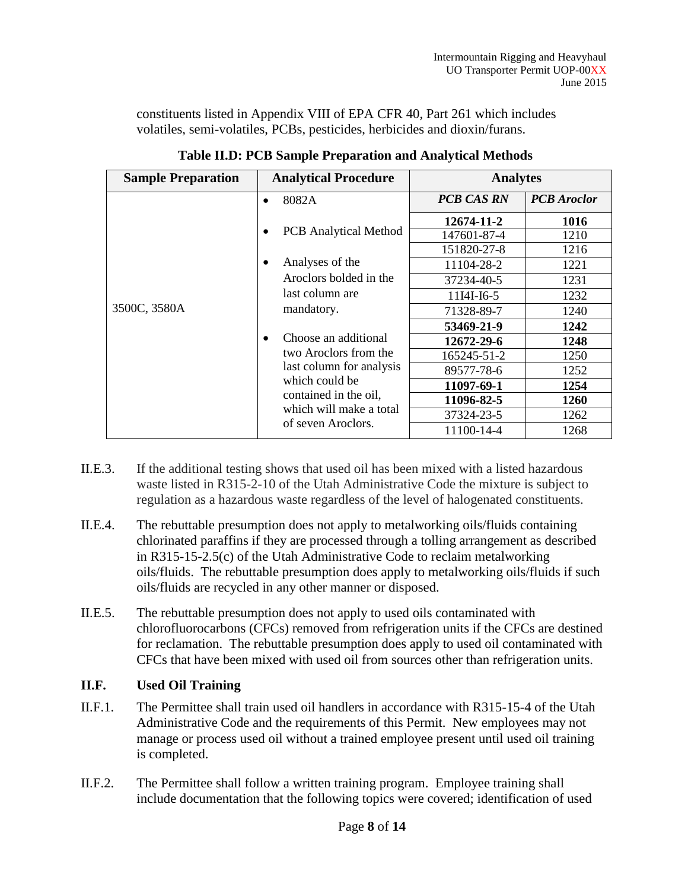constituents listed in Appendix VIII of EPA CFR 40, Part 261 which includes volatiles, semi-volatiles, PCBs, pesticides, herbicides and dioxin/furans.

| <b>Sample Preparation</b> | <b>Analytical Procedure</b>                                                                                                                                                                                                                                                                                                | <b>Analytes</b>   |                    |  |
|---------------------------|----------------------------------------------------------------------------------------------------------------------------------------------------------------------------------------------------------------------------------------------------------------------------------------------------------------------------|-------------------|--------------------|--|
|                           | 8082A                                                                                                                                                                                                                                                                                                                      | <b>PCB CAS RN</b> | <b>PCB</b> Aroclor |  |
|                           | <b>PCB</b> Analytical Method<br>$\bullet$<br>Analyses of the<br>$\bullet$<br>Aroclors bolded in the<br>last column are<br>mandatory.<br>Choose an additional<br>$\bullet$<br>two Aroclors from the<br>last column for analysis<br>which could be<br>contained in the oil,<br>which will make a total<br>of seven Aroclors. | 12674-11-2        | 1016               |  |
|                           |                                                                                                                                                                                                                                                                                                                            | 147601-87-4       | 1210               |  |
|                           |                                                                                                                                                                                                                                                                                                                            | 151820-27-8       | 1216               |  |
|                           |                                                                                                                                                                                                                                                                                                                            | 11104-28-2        | 1221               |  |
|                           |                                                                                                                                                                                                                                                                                                                            | 37234-40-5        | 1231               |  |
|                           |                                                                                                                                                                                                                                                                                                                            | 11I4I-I6-5        | 1232               |  |
| 3500C, 3580A              |                                                                                                                                                                                                                                                                                                                            | 71328-89-7        | 1240               |  |
|                           |                                                                                                                                                                                                                                                                                                                            | 53469-21-9        | 1242               |  |
|                           |                                                                                                                                                                                                                                                                                                                            | 12672-29-6        | 1248               |  |
|                           |                                                                                                                                                                                                                                                                                                                            | 165245-51-2       | 1250               |  |
|                           |                                                                                                                                                                                                                                                                                                                            | 89577-78-6        | 1252               |  |
|                           |                                                                                                                                                                                                                                                                                                                            | 11097-69-1        | 1254               |  |
|                           |                                                                                                                                                                                                                                                                                                                            | 11096-82-5        | <b>1260</b>        |  |
|                           |                                                                                                                                                                                                                                                                                                                            | 37324-23-5        | 1262               |  |
|                           |                                                                                                                                                                                                                                                                                                                            | 11100-14-4        | 1268               |  |

**Table II.D: PCB Sample Preparation and Analytical Methods**

- II.E.3. If the additional testing shows that used oil has been mixed with a listed hazardous waste listed in R315-2-10 of the Utah Administrative Code the mixture is subject to regulation as a hazardous waste regardless of the level of halogenated constituents.
- II.E.4. The rebuttable presumption does not apply to metalworking oils/fluids containing chlorinated paraffins if they are processed through a tolling arrangement as described in R315-15-2.5(c) of the Utah Administrative Code to reclaim metalworking oils/fluids. The rebuttable presumption does apply to metalworking oils/fluids if such oils/fluids are recycled in any other manner or disposed.
- II.E.5. The rebuttable presumption does not apply to used oils contaminated with chlorofluorocarbons (CFCs) removed from refrigeration units if the CFCs are destined for reclamation. The rebuttable presumption does apply to used oil contaminated with CFCs that have been mixed with used oil from sources other than refrigeration units.

# **II.F. Used Oil Training**

- II.F.1. The Permittee shall train used oil handlers in accordance with R315-15-4 of the Utah Administrative Code and the requirements of this Permit. New employees may not manage or process used oil without a trained employee present until used oil training is completed.
- II.F.2. The Permittee shall follow a written training program. Employee training shall include documentation that the following topics were covered; identification of used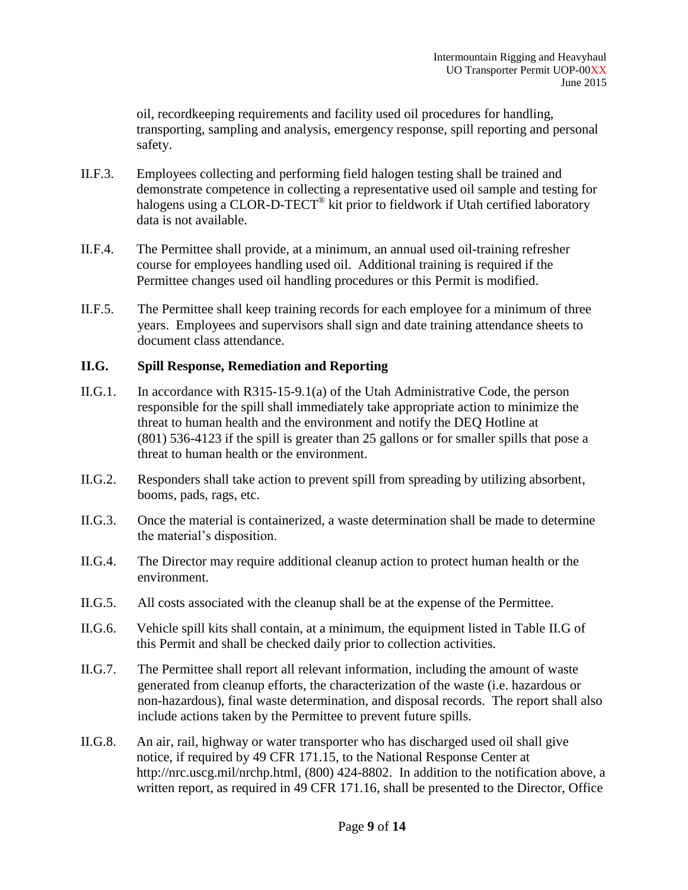oil, recordkeeping requirements and facility used oil procedures for handling, transporting, sampling and analysis, emergency response, spill reporting and personal safety.

- II.F.3. Employees collecting and performing field halogen testing shall be trained and demonstrate competence in collecting a representative used oil sample and testing for halogens using a CLOR-D-TECT<sup>®</sup> kit prior to fieldwork if Utah certified laboratory data is not available.
- II.F.4. The Permittee shall provide, at a minimum, an annual used oil-training refresher course for employees handling used oil. Additional training is required if the Permittee changes used oil handling procedures or this Permit is modified.
- II.F.5. The Permittee shall keep training records for each employee for a minimum of three years. Employees and supervisors shall sign and date training attendance sheets to document class attendance.

## **II.G. Spill Response, Remediation and Reporting**

- II.G.1. In accordance with R315-15-9.1(a) of the Utah Administrative Code, the person responsible for the spill shall immediately take appropriate action to minimize the threat to human health and the environment and notify the DEQ Hotline at (801) 536-4123 if the spill is greater than 25 gallons or for smaller spills that pose a threat to human health or the environment.
- II.G.2. Responders shall take action to prevent spill from spreading by utilizing absorbent, booms, pads, rags, etc.
- II.G.3. Once the material is containerized, a waste determination shall be made to determine the material's disposition.
- II.G.4. The Director may require additional cleanup action to protect human health or the environment.
- II.G.5. All costs associated with the cleanup shall be at the expense of the Permittee.
- II.G.6. Vehicle spill kits shall contain, at a minimum, the equipment listed in Table II.G of this Permit and shall be checked daily prior to collection activities.
- II.G.7. The Permittee shall report all relevant information, including the amount of waste generated from cleanup efforts, the characterization of the waste (i.e. hazardous or non-hazardous), final waste determination, and disposal records. The report shall also include actions taken by the Permittee to prevent future spills.
- II.G.8. An air, rail, highway or water transporter who has discharged used oil shall give notice, if required by 49 CFR 171.15, to the National Response Center at http://nrc.uscg.mil/nrchp.html, (800) 424-8802. In addition to the notification above, a written report, as required in 49 CFR 171.16, shall be presented to the Director, Office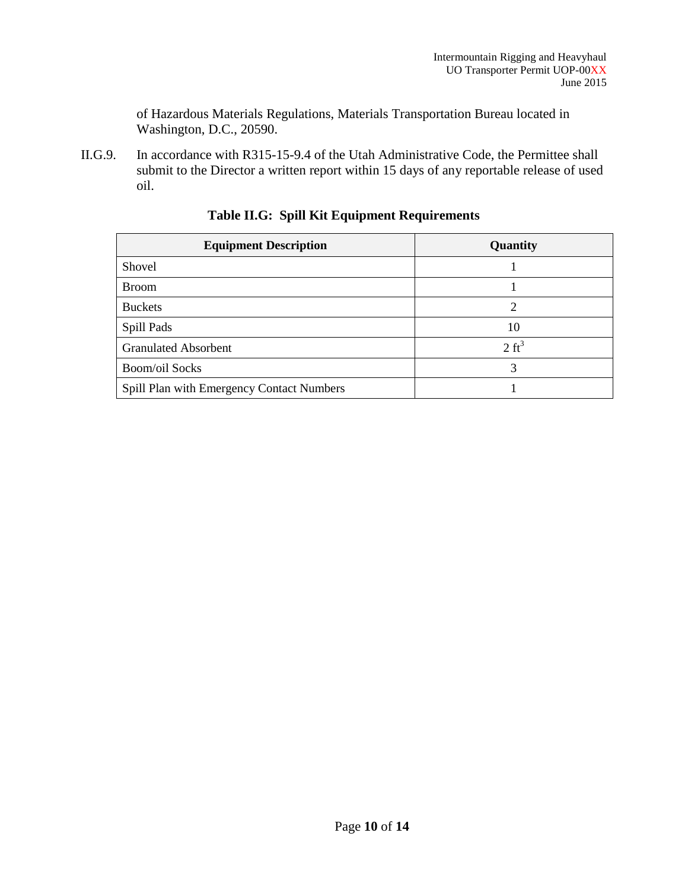of Hazardous Materials Regulations, Materials Transportation Bureau located in Washington, D.C., 20590.

II.G.9. In accordance with R315-15-9.4 of the Utah Administrative Code, the Permittee shall submit to the Director a written report within 15 days of any reportable release of used oil.

| <b>Equipment Description</b>              | Quantity         |  |
|-------------------------------------------|------------------|--|
| Shovel                                    |                  |  |
| <b>Broom</b>                              |                  |  |
| <b>Buckets</b>                            | ∍                |  |
| Spill Pads                                | 10               |  |
| <b>Granulated Absorbent</b>               | $2 \text{ ft}^3$ |  |
| <b>Boom/oil Socks</b>                     | 3                |  |
| Spill Plan with Emergency Contact Numbers |                  |  |

# **Table II.G: Spill Kit Equipment Requirements**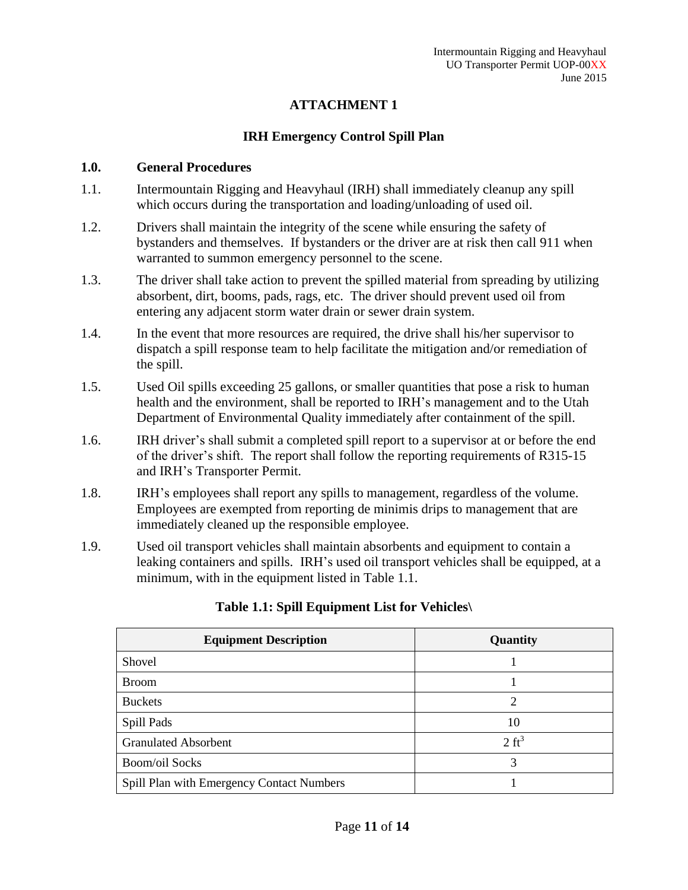# **ATTACHMENT 1**

# **IRH Emergency Control Spill Plan**

## **1.0. General Procedures**

- 1.1. Intermountain Rigging and Heavyhaul (IRH) shall immediately cleanup any spill which occurs during the transportation and loading/unloading of used oil.
- 1.2. Drivers shall maintain the integrity of the scene while ensuring the safety of bystanders and themselves. If bystanders or the driver are at risk then call 911 when warranted to summon emergency personnel to the scene.
- 1.3. The driver shall take action to prevent the spilled material from spreading by utilizing absorbent, dirt, booms, pads, rags, etc. The driver should prevent used oil from entering any adjacent storm water drain or sewer drain system.
- 1.4. In the event that more resources are required, the drive shall his/her supervisor to dispatch a spill response team to help facilitate the mitigation and/or remediation of the spill.
- 1.5. Used Oil spills exceeding 25 gallons, or smaller quantities that pose a risk to human health and the environment, shall be reported to IRH's management and to the Utah Department of Environmental Quality immediately after containment of the spill.
- 1.6. IRH driver's shall submit a completed spill report to a supervisor at or before the end of the driver's shift. The report shall follow the reporting requirements of R315-15 and IRH's Transporter Permit.
- 1.8. IRH's employees shall report any spills to management, regardless of the volume. Employees are exempted from reporting de minimis drips to management that are immediately cleaned up the responsible employee.
- 1.9. Used oil transport vehicles shall maintain absorbents and equipment to contain a leaking containers and spills. IRH's used oil transport vehicles shall be equipped, at a minimum, with in the equipment listed in Table 1.1.

| <b>Equipment Description</b>              | Quantity         |  |
|-------------------------------------------|------------------|--|
| Shovel                                    |                  |  |
| <b>Broom</b>                              |                  |  |
| <b>Buckets</b>                            | 2                |  |
| Spill Pads                                | 10               |  |
| <b>Granulated Absorbent</b>               | $2 \text{ ft}^3$ |  |
| <b>Boom/oil Socks</b>                     | 3                |  |
| Spill Plan with Emergency Contact Numbers |                  |  |

# **Table 1.1: Spill Equipment List for Vehicles\**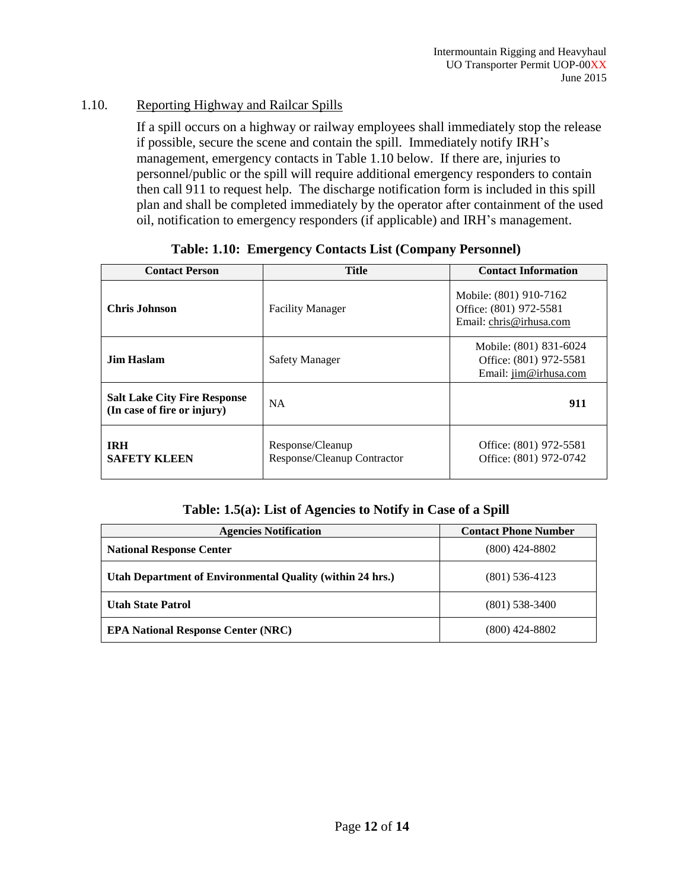# 1.10. Reporting Highway and Railcar Spills

If a spill occurs on a highway or railway employees shall immediately stop the release if possible, secure the scene and contain the spill. Immediately notify IRH's management, emergency contacts in Table 1.10 below. If there are, injuries to personnel/public or the spill will require additional emergency responders to contain then call 911 to request help. The discharge notification form is included in this spill plan and shall be completed immediately by the operator after containment of the used oil, notification to emergency responders (if applicable) and IRH's management.

| <b>Title</b><br><b>Contact Person</b>                              |                                                 | <b>Contact Information</b>                                                  |
|--------------------------------------------------------------------|-------------------------------------------------|-----------------------------------------------------------------------------|
| <b>Chris Johnson</b>                                               | <b>Facility Manager</b>                         | Mobile: (801) 910-7162<br>Office: (801) 972-5581<br>Email: chris@irhusa.com |
| <b>Jim Haslam</b>                                                  | <b>Safety Manager</b>                           | Mobile: (801) 831-6024<br>Office: (801) 972-5581<br>Email: jim@irhusa.com   |
| <b>Salt Lake City Fire Response</b><br>(In case of fire or injury) | <b>NA</b>                                       | 911                                                                         |
| <b>TRH</b><br><b>SAFETY KLEEN</b>                                  | Response/Cleanup<br>Response/Cleanup Contractor | Office: (801) 972-5581<br>Office: (801) 972-0742                            |

## **Table: 1.10: Emergency Contacts List (Company Personnel)**

#### **Table: 1.5(a): List of Agencies to Notify in Case of a Spill**

| <b>Agencies Notification</b>                                     | <b>Contact Phone Number</b> |
|------------------------------------------------------------------|-----------------------------|
| <b>National Response Center</b>                                  | $(800)$ 424-8802            |
| <b>Utah Department of Environmental Quality (within 24 hrs.)</b> | $(801)$ 536-4123            |
| <b>Utah State Patrol</b>                                         | $(801)$ 538-3400            |
| <b>EPA National Response Center (NRC)</b>                        | $(800)$ 424-8802            |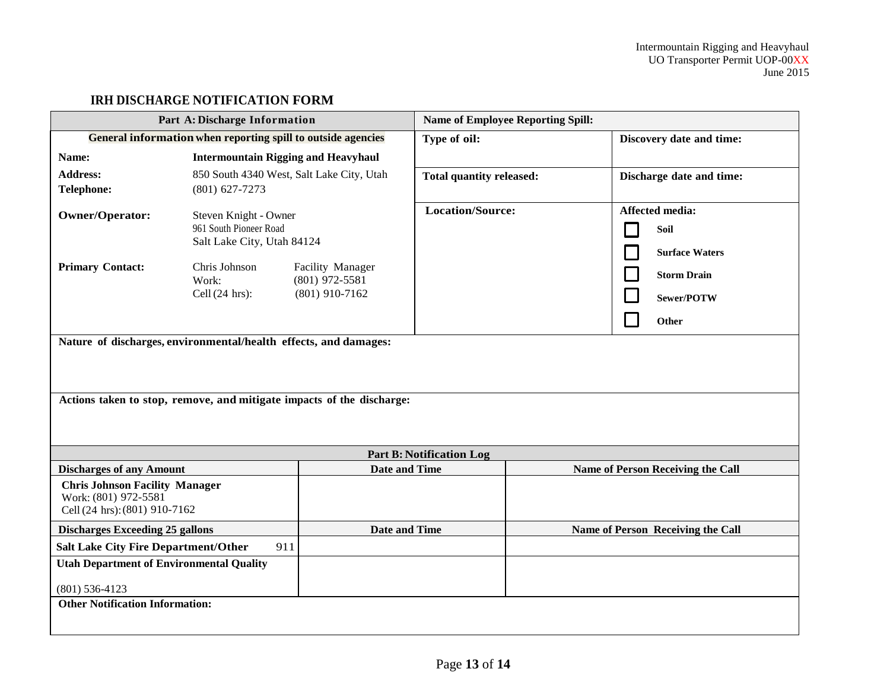# **IRH DISCHARGE NOTIFICATION FORM**

| Part A: Discharge Information                                                                                                             |                                                                               | <b>Name of Employee Reporting Spill:</b>                 |                                   |                                                         |  |
|-------------------------------------------------------------------------------------------------------------------------------------------|-------------------------------------------------------------------------------|----------------------------------------------------------|-----------------------------------|---------------------------------------------------------|--|
| General information when reporting spill to outside agencies                                                                              |                                                                               | Type of oil:                                             | Discovery date and time:          |                                                         |  |
| Name:                                                                                                                                     | <b>Intermountain Rigging and Heavyhaul</b>                                    |                                                          |                                   |                                                         |  |
| <b>Address:</b><br><b>Telephone:</b>                                                                                                      | 850 South 4340 West, Salt Lake City, Utah<br>$(801)$ 627-7273                 |                                                          | <b>Total quantity released:</b>   | Discharge date and time:                                |  |
| <b>Owner/Operator:</b>                                                                                                                    | Steven Knight - Owner<br>961 South Pioneer Road<br>Salt Lake City, Utah 84124 |                                                          | <b>Location/Source:</b>           | <b>Affected media:</b><br>Soil<br><b>Surface Waters</b> |  |
| <b>Primary Contact:</b>                                                                                                                   | Chris Johnson<br>Work:<br>Cell $(24 \text{ hrs})$ :                           | Facility Manager<br>$(801)$ 972-5581<br>$(801)$ 910-7162 |                                   | <b>Storm Drain</b><br>Sewer/POTW<br>Other               |  |
| Nature of discharges, environmental/health effects, and damages:<br>Actions taken to stop, remove, and mitigate impacts of the discharge: |                                                                               |                                                          |                                   |                                                         |  |
|                                                                                                                                           |                                                                               |                                                          | <b>Part B: Notification Log</b>   |                                                         |  |
| <b>Discharges of any Amount</b>                                                                                                           |                                                                               | <b>Date and Time</b>                                     |                                   | Name of Person Receiving the Call                       |  |
| <b>Chris Johnson Facility Manager</b><br>Work: (801) 972-5581<br>Cell (24 hrs): (801) 910-7162                                            |                                                                               |                                                          |                                   |                                                         |  |
| <b>Date and Time</b><br><b>Discharges Exceeding 25 gallons</b>                                                                            |                                                                               |                                                          | Name of Person Receiving the Call |                                                         |  |
| <b>Salt Lake City Fire Department/Other</b>                                                                                               | 911                                                                           |                                                          |                                   |                                                         |  |
| <b>Utah Department of Environmental Quality</b><br>$(801)$ 536-4123<br><b>Other Notification Information:</b>                             |                                                                               |                                                          |                                   |                                                         |  |
|                                                                                                                                           |                                                                               |                                                          |                                   |                                                         |  |